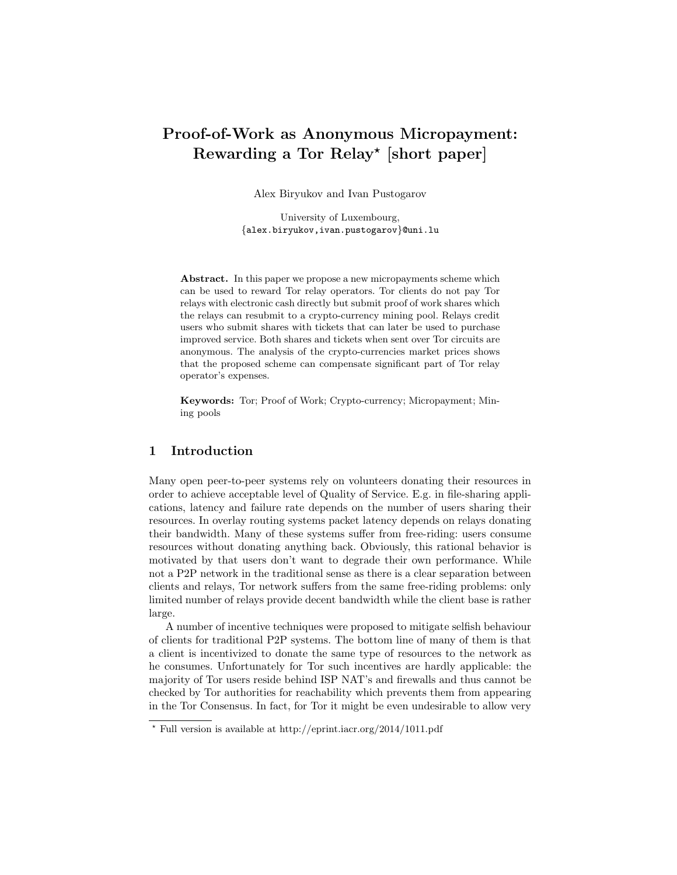# Proof-of-Work as Anonymous Micropayment: Rewarding a Tor Relay\* [short paper]

Alex Biryukov and Ivan Pustogarov

University of Luxembourg, {alex.biryukov,ivan.pustogarov}@uni.lu

Abstract. In this paper we propose a new micropayments scheme which can be used to reward Tor relay operators. Tor clients do not pay Tor relays with electronic cash directly but submit proof of work shares which the relays can resubmit to a crypto-currency mining pool. Relays credit users who submit shares with tickets that can later be used to purchase improved service. Both shares and tickets when sent over Tor circuits are anonymous. The analysis of the crypto-currencies market prices shows that the proposed scheme can compensate significant part of Tor relay operator's expenses.

Keywords: Tor; Proof of Work; Crypto-currency; Micropayment; Mining pools

## 1 Introduction

Many open peer-to-peer systems rely on volunteers donating their resources in order to achieve acceptable level of Quality of Service. E.g. in file-sharing applications, latency and failure rate depends on the number of users sharing their resources. In overlay routing systems packet latency depends on relays donating their bandwidth. Many of these systems suffer from free-riding: users consume resources without donating anything back. Obviously, this rational behavior is motivated by that users don't want to degrade their own performance. While not a P2P network in the traditional sense as there is a clear separation between clients and relays, Tor network suffers from the same free-riding problems: only limited number of relays provide decent bandwidth while the client base is rather large.

A number of incentive techniques were proposed to mitigate selfish behaviour of clients for traditional P2P systems. The bottom line of many of them is that a client is incentivized to donate the same type of resources to the network as he consumes. Unfortunately for Tor such incentives are hardly applicable: the majority of Tor users reside behind ISP NAT's and firewalls and thus cannot be checked by Tor authorities for reachability which prevents them from appearing in the Tor Consensus. In fact, for Tor it might be even undesirable to allow very

<sup>?</sup> Full version is available at http://eprint.iacr.org/2014/1011.pdf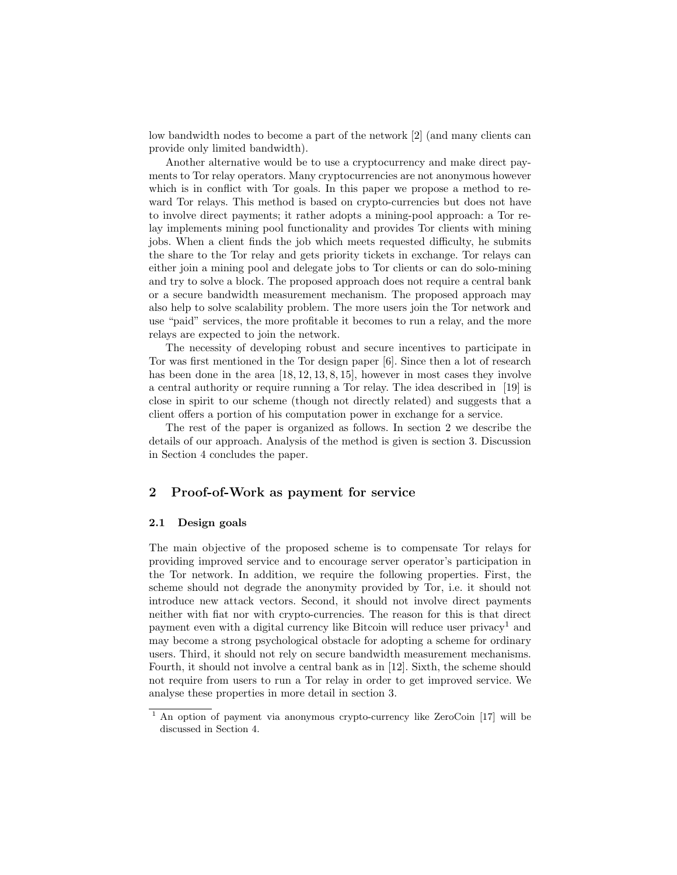low bandwidth nodes to become a part of the network [2] (and many clients can provide only limited bandwidth).

Another alternative would be to use a cryptocurrency and make direct payments to Tor relay operators. Many cryptocurrencies are not anonymous however which is in conflict with Tor goals. In this paper we propose a method to reward Tor relays. This method is based on crypto-currencies but does not have to involve direct payments; it rather adopts a mining-pool approach: a Tor relay implements mining pool functionality and provides Tor clients with mining jobs. When a client finds the job which meets requested difficulty, he submits the share to the Tor relay and gets priority tickets in exchange. Tor relays can either join a mining pool and delegate jobs to Tor clients or can do solo-mining and try to solve a block. The proposed approach does not require a central bank or a secure bandwidth measurement mechanism. The proposed approach may also help to solve scalability problem. The more users join the Tor network and use "paid" services, the more profitable it becomes to run a relay, and the more relays are expected to join the network.

The necessity of developing robust and secure incentives to participate in Tor was first mentioned in the Tor design paper [6]. Since then a lot of research has been done in the area [18, 12, 13, 8, 15], however in most cases they involve a central authority or require running a Tor relay. The idea described in [19] is close in spirit to our scheme (though not directly related) and suggests that a client offers a portion of his computation power in exchange for a service.

The rest of the paper is organized as follows. In section 2 we describe the details of our approach. Analysis of the method is given is section 3. Discussion in Section 4 concludes the paper.

## 2 Proof-of-Work as payment for service

#### 2.1 Design goals

The main objective of the proposed scheme is to compensate Tor relays for providing improved service and to encourage server operator's participation in the Tor network. In addition, we require the following properties. First, the scheme should not degrade the anonymity provided by Tor, i.e. it should not introduce new attack vectors. Second, it should not involve direct payments neither with fiat nor with crypto-currencies. The reason for this is that direct payment even with a digital currency like Bitcoin will reduce user privacy<sup>1</sup> and may become a strong psychological obstacle for adopting a scheme for ordinary users. Third, it should not rely on secure bandwidth measurement mechanisms. Fourth, it should not involve a central bank as in [12]. Sixth, the scheme should not require from users to run a Tor relay in order to get improved service. We analyse these properties in more detail in section 3.

<sup>&</sup>lt;sup>1</sup> An option of payment via anonymous crypto-currency like ZeroCoin [17] will be discussed in Section 4.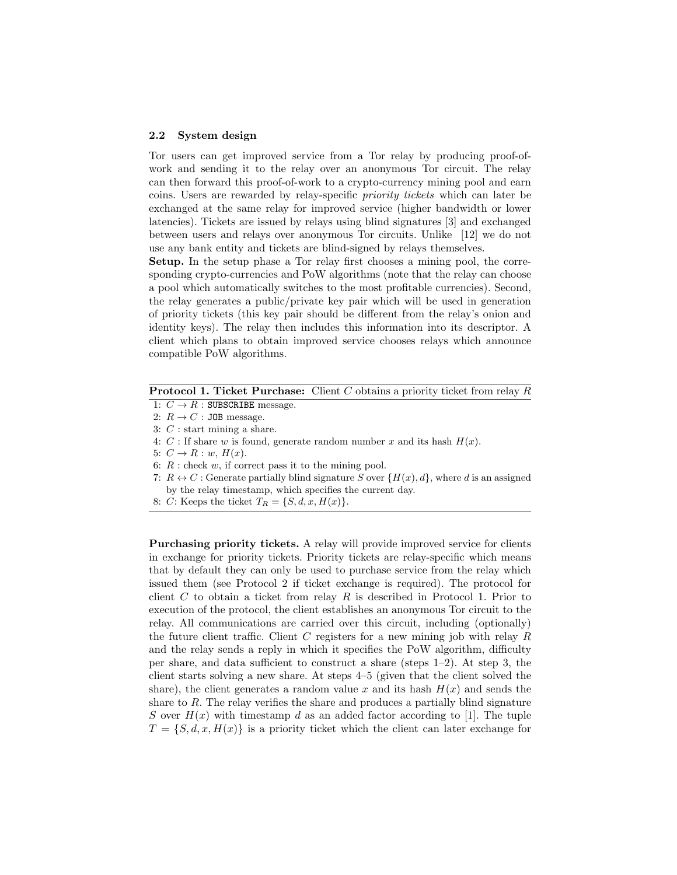#### 2.2 System design

Tor users can get improved service from a Tor relay by producing proof-ofwork and sending it to the relay over an anonymous Tor circuit. The relay can then forward this proof-of-work to a crypto-currency mining pool and earn coins. Users are rewarded by relay-specific priority tickets which can later be exchanged at the same relay for improved service (higher bandwidth or lower latencies). Tickets are issued by relays using blind signatures [3] and exchanged between users and relays over anonymous Tor circuits. Unlike [12] we do not use any bank entity and tickets are blind-signed by relays themselves.

Setup. In the setup phase a Tor relay first chooses a mining pool, the corresponding crypto-currencies and PoW algorithms (note that the relay can choose a pool which automatically switches to the most profitable currencies). Second, the relay generates a public/private key pair which will be used in generation of priority tickets (this key pair should be different from the relay's onion and identity keys). The relay then includes this information into its descriptor. A client which plans to obtain improved service chooses relays which announce compatible PoW algorithms.

Protocol 1. Ticket Purchase: Client C obtains a priority ticket from relay R

- 1:  $C \rightarrow R$ : SUBSCRIBE message.
- 2:  $R \rightarrow C$ : JOB message.
- 3:  $C$  : start mining a share.
- 4: C : If share w is found, generate random number x and its hash  $H(x)$ .
- 5:  $C \rightarrow R : w$ ,  $H(x)$ .
- 6:  $R$ : check  $w$ , if correct pass it to the mining pool.
- 7:  $R \leftrightarrow C$ : Generate partially blind signature S over  $\{H(x), d\}$ , where d is an assigned by the relay timestamp, which specifies the current day.
- 8: C: Keeps the ticket  $T_R = \{S, d, x, H(x)\}.$

Purchasing priority tickets. A relay will provide improved service for clients in exchange for priority tickets. Priority tickets are relay-specific which means that by default they can only be used to purchase service from the relay which issued them (see Protocol 2 if ticket exchange is required). The protocol for client C to obtain a ticket from relay R is described in Protocol 1. Prior to execution of the protocol, the client establishes an anonymous Tor circuit to the relay. All communications are carried over this circuit, including (optionally) the future client traffic. Client  $C$  registers for a new mining job with relay  $R$ and the relay sends a reply in which it specifies the PoW algorithm, difficulty per share, and data sufficient to construct a share (steps 1–2). At step 3, the client starts solving a new share. At steps 4–5 (given that the client solved the share), the client generates a random value x and its hash  $H(x)$  and sends the share to  $R$ . The relay verifies the share and produces a partially blind signature S over  $H(x)$  with timestamp d as an added factor according to [1]. The tuple  $T = \{S, d, x, H(x)\}\$ is a priority ticket which the client can later exchange for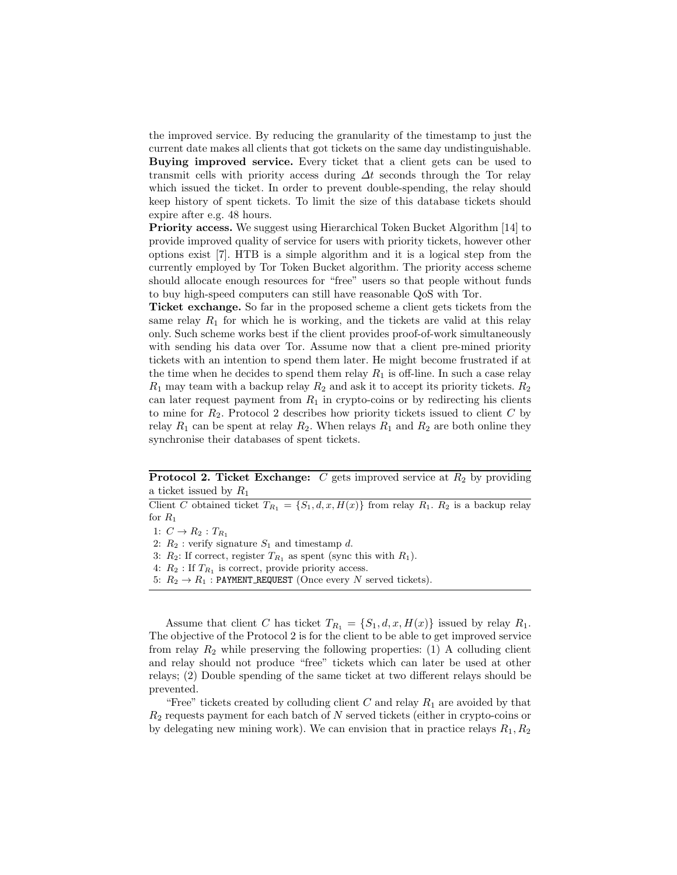the improved service. By reducing the granularity of the timestamp to just the current date makes all clients that got tickets on the same day undistinguishable. Buying improved service. Every ticket that a client gets can be used to transmit cells with priority access during  $\Delta t$  seconds through the Tor relay which issued the ticket. In order to prevent double-spending, the relay should keep history of spent tickets. To limit the size of this database tickets should expire after e.g. 48 hours.

Priority access. We suggest using Hierarchical Token Bucket Algorithm [14] to provide improved quality of service for users with priority tickets, however other options exist [7]. HTB is a simple algorithm and it is a logical step from the currently employed by Tor Token Bucket algorithm. The priority access scheme should allocate enough resources for "free" users so that people without funds to buy high-speed computers can still have reasonable QoS with Tor.

Ticket exchange. So far in the proposed scheme a client gets tickets from the same relay  $R_1$  for which he is working, and the tickets are valid at this relay only. Such scheme works best if the client provides proof-of-work simultaneously with sending his data over Tor. Assume now that a client pre-mined priority tickets with an intention to spend them later. He might become frustrated if at the time when he decides to spend them relay  $R_1$  is off-line. In such a case relay  $R_1$  may team with a backup relay  $R_2$  and ask it to accept its priority tickets.  $R_2$ can later request payment from  $R_1$  in crypto-coins or by redirecting his clients to mine for  $R_2$ . Protocol 2 describes how priority tickets issued to client  $C$  by relay  $R_1$  can be spent at relay  $R_2$ . When relays  $R_1$  and  $R_2$  are both online they synchronise their databases of spent tickets.

**Protocol 2. Ticket Exchange:** C gets improved service at  $R_2$  by providing a ticket issued by  $R_1$ 

Client C obtained ticket  $T_{R_1} = \{S_1, d, x, H(x)\}\$ from relay  $R_1$ .  $R_2$  is a backup relay for R<sup>1</sup>

1:  $C \to R_2 : T_{R_1}$ 

2:  $R_2$ : verify signature  $S_1$  and timestamp d.

3:  $R_2$ : If correct, register  $T_{R_1}$  as spent (sync this with  $R_1$ ).

4:  $R_2$ : If  $T_{R_1}$  is correct, provide priority access.

5:  $R_2 \rightarrow R_1$ : PAYMENT REQUEST (Once every N served tickets).

Assume that client C has ticket  $T_{R_1} = \{S_1, d, x, H(x)\}\$ issued by relay  $R_1$ . The objective of the Protocol 2 is for the client to be able to get improved service from relay  $R_2$  while preserving the following properties: (1) A colluding client and relay should not produce "free" tickets which can later be used at other relays; (2) Double spending of the same ticket at two different relays should be prevented.

"Free" tickets created by colluding client C and relay  $R_1$  are avoided by that  $R_2$  requests payment for each batch of N served tickets (either in crypto-coins or by delegating new mining work). We can envision that in practice relays  $R_1, R_2$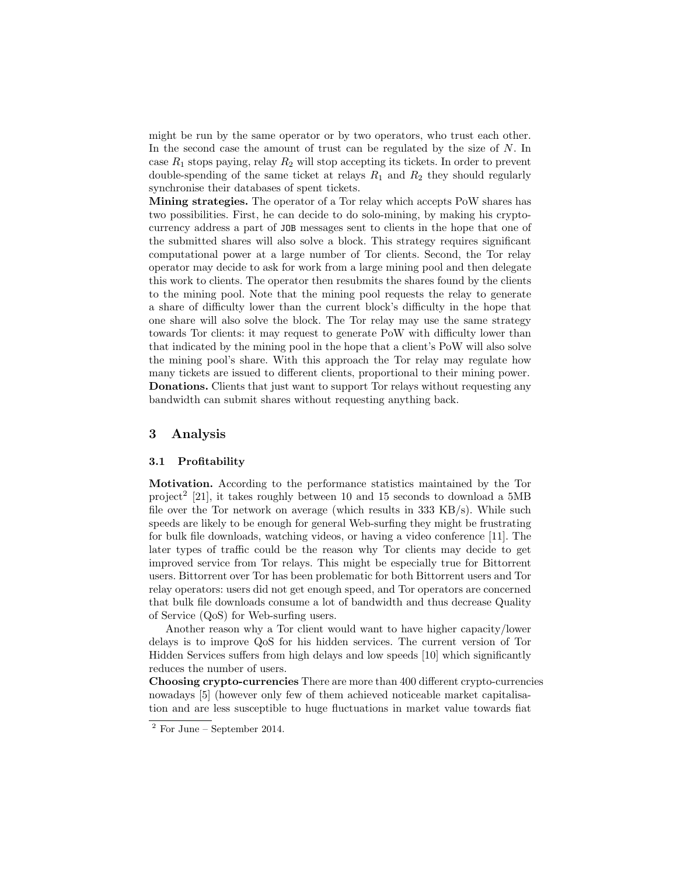might be run by the same operator or by two operators, who trust each other. In the second case the amount of trust can be regulated by the size of  $N$ . In case  $R_1$  stops paying, relay  $R_2$  will stop accepting its tickets. In order to prevent double-spending of the same ticket at relays  $R_1$  and  $R_2$  they should regularly synchronise their databases of spent tickets.

Mining strategies. The operator of a Tor relay which accepts PoW shares has two possibilities. First, he can decide to do solo-mining, by making his cryptocurrency address a part of JOB messages sent to clients in the hope that one of the submitted shares will also solve a block. This strategy requires significant computational power at a large number of Tor clients. Second, the Tor relay operator may decide to ask for work from a large mining pool and then delegate this work to clients. The operator then resubmits the shares found by the clients to the mining pool. Note that the mining pool requests the relay to generate a share of difficulty lower than the current block's difficulty in the hope that one share will also solve the block. The Tor relay may use the same strategy towards Tor clients: it may request to generate PoW with difficulty lower than that indicated by the mining pool in the hope that a client's PoW will also solve the mining pool's share. With this approach the Tor relay may regulate how many tickets are issued to different clients, proportional to their mining power. Donations. Clients that just want to support Tor relays without requesting any bandwidth can submit shares without requesting anything back.

#### 3 Analysis

#### 3.1 Profitability

Motivation. According to the performance statistics maintained by the Tor project<sup>2</sup> [21], it takes roughly between 10 and 15 seconds to download a  $5MB$ file over the Tor network on average (which results in 333 KB/s). While such speeds are likely to be enough for general Web-surfing they might be frustrating for bulk file downloads, watching videos, or having a video conference [11]. The later types of traffic could be the reason why Tor clients may decide to get improved service from Tor relays. This might be especially true for Bittorrent users. Bittorrent over Tor has been problematic for both Bittorrent users and Tor relay operators: users did not get enough speed, and Tor operators are concerned that bulk file downloads consume a lot of bandwidth and thus decrease Quality of Service (QoS) for Web-surfing users.

Another reason why a Tor client would want to have higher capacity/lower delays is to improve QoS for his hidden services. The current version of Tor Hidden Services suffers from high delays and low speeds [10] which significantly reduces the number of users.

Choosing crypto-currencies There are more than 400 different crypto-currencies nowadays [5] (however only few of them achieved noticeable market capitalisation and are less susceptible to huge fluctuations in market value towards fiat

 $2$  For June – September 2014.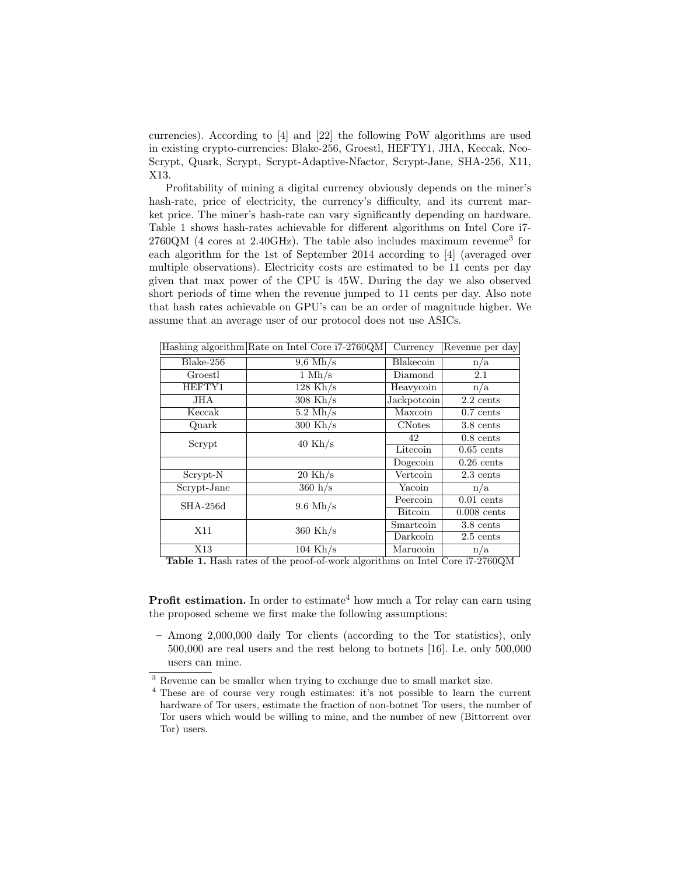currencies). According to [4] and [22] the following PoW algorithms are used in existing crypto-currencies: Blake-256, Groestl, HEFTY1, JHA, Keccak, Neo-Scrypt, Quark, Scrypt, Scrypt-Adaptive-Nfactor, Scrypt-Jane, SHA-256, X11, X13.

Profitability of mining a digital currency obviously depends on the miner's hash-rate, price of electricity, the currency's difficulty, and its current market price. The miner's hash-rate can vary significantly depending on hardware. Table 1 shows hash-rates achievable for different algorithms on Intel Core i7-  $2760 \text{QM}$  (4 cores at 2.40 GHz). The table also includes maximum revenue<sup>3</sup> for each algorithm for the 1st of September 2014 according to [4] (averaged over multiple observations). Electricity costs are estimated to be 11 cents per day given that max power of the CPU is 45W. During the day we also observed short periods of time when the revenue jumped to 11 cents per day. Also note that hash rates achievable on GPU's can be an order of magnitude higher. We assume that an average user of our protocol does not use ASICs.

|             | Hashing algorithm Rate on Intel Core i7-2760QM | Currency       | Revenue per day     |
|-------------|------------------------------------------------|----------------|---------------------|
| Blake-256   | $9,6 \text{ Mh/s}$                             | Blakecoin      | n/a                 |
| Groestl     | $1 \text{ Mh/s}$                               | Diamond        | 2.1                 |
| HEFTY1      | $128$ Kh/s                                     | Heavycoin      | n/a                 |
| JHA         | $308$ Kh/s                                     | Jackpotcoin    | $2.2 \text{ cents}$ |
| Keccak      | $5.2 \text{ Mh/s}$                             | Maxcoin        | $0.7$ cents         |
| Quark       | $300$ Kh/s                                     | <b>CNotes</b>  | 3.8 cents           |
| Scrypt      | $40$ Kh/s                                      | 42             | $0.8$ cents         |
|             |                                                | Litecoin       | $0.65$ cents        |
|             |                                                | Dogecoin       | $0.26$ cents        |
| Scrypt-N    | $20$ Kh/s                                      | Vertcoin       | $2.3 \text{ cents}$ |
| Scrypt-Jane | 360 h/s                                        | Yacoin         | n/a                 |
| $SHA-256d$  | $9.6 \text{ Mh/s}$                             | Peercoin       | $0.01$ cents        |
|             |                                                | <b>Bitcoin</b> | $0.008$ cents       |
| X11         | $360$ Kh/s                                     | Smartcoin      | 3.8 cents           |
|             |                                                | Darkcoin       | $2.5$ cents         |
| X13         | $104$ Kh/s                                     | Marucoin       | n/a                 |

Table 1. Hash rates of the proof-of-work algorithms on Intel Core i7-2760QM

**Profit estimation.** In order to estimate<sup>4</sup> how much a Tor relay can earn using the proposed scheme we first make the following assumptions:

- Among 2,000,000 daily Tor clients (according to the Tor statistics), only 500,000 are real users and the rest belong to botnets [16]. I.e. only 500,000 users can mine.
- $\sqrt{3}$  Revenue can be smaller when trying to exchange due to small market size.

<sup>4</sup> These are of course very rough estimates: it's not possible to learn the current hardware of Tor users, estimate the fraction of non-botnet Tor users, the number of Tor users which would be willing to mine, and the number of new (Bittorrent over Tor) users.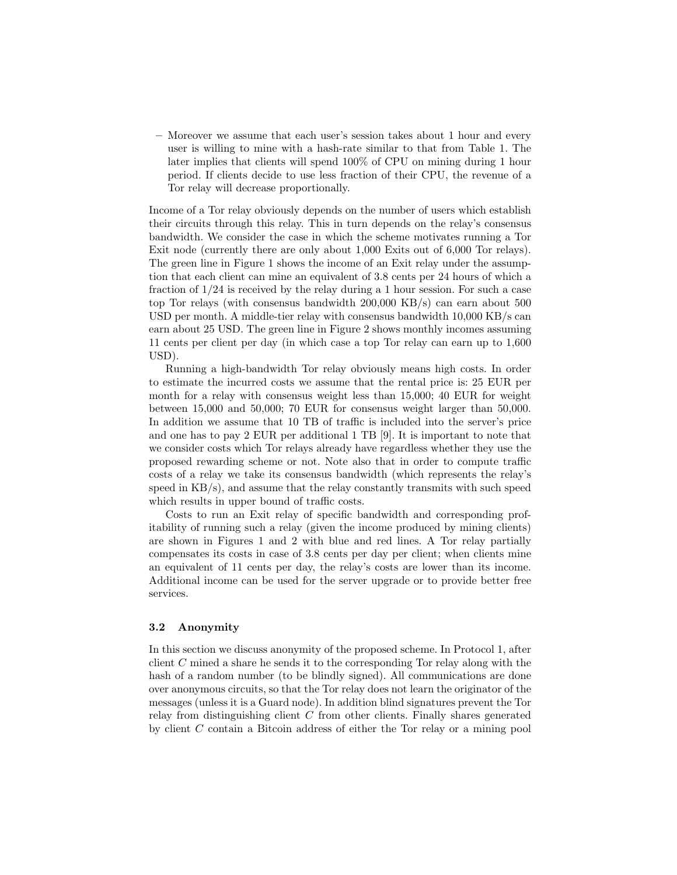– Moreover we assume that each user's session takes about 1 hour and every user is willing to mine with a hash-rate similar to that from Table 1. The later implies that clients will spend 100% of CPU on mining during 1 hour period. If clients decide to use less fraction of their CPU, the revenue of a Tor relay will decrease proportionally.

Income of a Tor relay obviously depends on the number of users which establish their circuits through this relay. This in turn depends on the relay's consensus bandwidth. We consider the case in which the scheme motivates running a Tor Exit node (currently there are only about 1,000 Exits out of 6,000 Tor relays). The green line in Figure 1 shows the income of an Exit relay under the assumption that each client can mine an equivalent of 3.8 cents per 24 hours of which a fraction of 1/24 is received by the relay during a 1 hour session. For such a case top Tor relays (with consensus bandwidth 200,000 KB/s) can earn about 500 USD per month. A middle-tier relay with consensus bandwidth 10,000 KB/s can earn about 25 USD. The green line in Figure 2 shows monthly incomes assuming 11 cents per client per day (in which case a top Tor relay can earn up to 1,600 USD).

Running a high-bandwidth Tor relay obviously means high costs. In order to estimate the incurred costs we assume that the rental price is: 25 EUR per month for a relay with consensus weight less than 15,000; 40 EUR for weight between 15,000 and 50,000; 70 EUR for consensus weight larger than 50,000. In addition we assume that 10 TB of traffic is included into the server's price and one has to pay 2 EUR per additional 1 TB [9]. It is important to note that we consider costs which Tor relays already have regardless whether they use the proposed rewarding scheme or not. Note also that in order to compute traffic costs of a relay we take its consensus bandwidth (which represents the relay's speed in  $KB/s$ , and assume that the relay constantly transmits with such speed which results in upper bound of traffic costs.

Costs to run an Exit relay of specific bandwidth and corresponding profitability of running such a relay (given the income produced by mining clients) are shown in Figures 1 and 2 with blue and red lines. A Tor relay partially compensates its costs in case of 3.8 cents per day per client; when clients mine an equivalent of 11 cents per day, the relay's costs are lower than its income. Additional income can be used for the server upgrade or to provide better free services.

#### 3.2 Anonymity

In this section we discuss anonymity of the proposed scheme. In Protocol 1, after client  $C$  mined a share he sends it to the corresponding Tor relay along with the hash of a random number (to be blindly signed). All communications are done over anonymous circuits, so that the Tor relay does not learn the originator of the messages (unless it is a Guard node). In addition blind signatures prevent the Tor relay from distinguishing client  $C$  from other clients. Finally shares generated by client C contain a Bitcoin address of either the Tor relay or a mining pool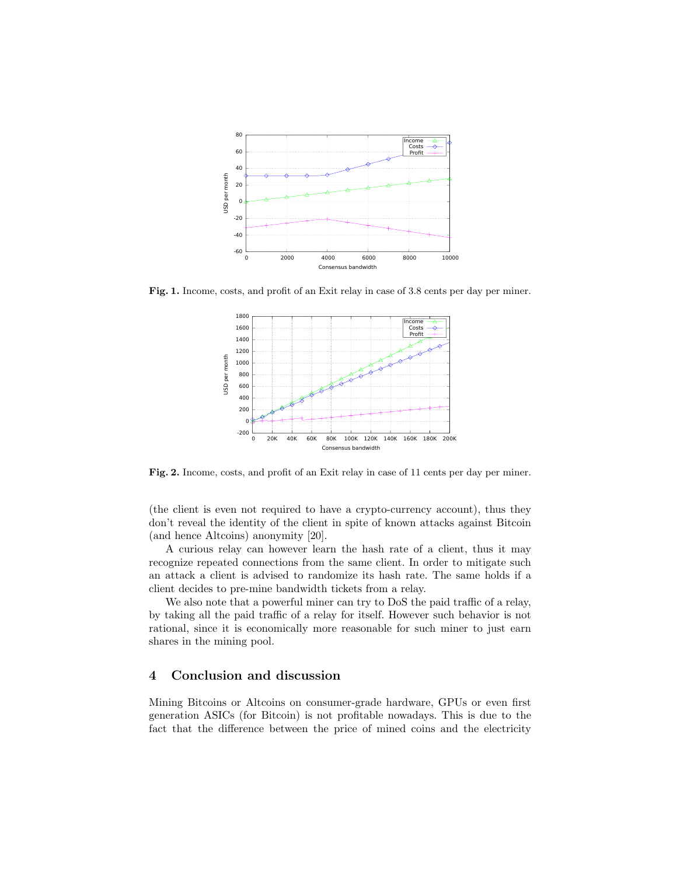

Fig. 1. Income, costs, and profit of an Exit relay in case of 3.8 cents per day per miner.



Fig. 2. Income, costs, and profit of an Exit relay in case of 11 cents per day per miner.

(the client is even not required to have a crypto-currency account), thus they don't reveal the identity of the client in spite of known attacks against Bitcoin (and hence Altcoins) anonymity [20].

A curious relay can however learn the hash rate of a client, thus it may recognize repeated connections from the same client. In order to mitigate such an attack a client is advised to randomize its hash rate. The same holds if a client decides to pre-mine bandwidth tickets from a relay.

We also note that a powerful miner can try to DoS the paid traffic of a relay, by taking all the paid traffic of a relay for itself. However such behavior is not rational, since it is economically more reasonable for such miner to just earn shares in the mining pool.

### 4 Conclusion and discussion

Mining Bitcoins or Altcoins on consumer-grade hardware, GPUs or even first generation ASICs (for Bitcoin) is not profitable nowadays. This is due to the fact that the difference between the price of mined coins and the electricity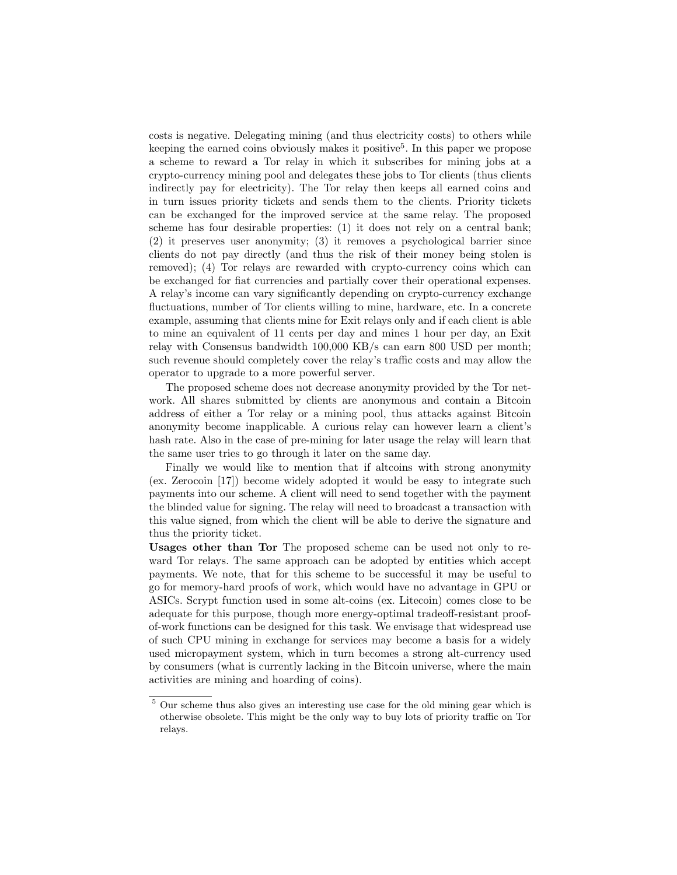costs is negative. Delegating mining (and thus electricity costs) to others while keeping the earned coins obviously makes it positive<sup>5</sup>. In this paper we propose a scheme to reward a Tor relay in which it subscribes for mining jobs at a crypto-currency mining pool and delegates these jobs to Tor clients (thus clients indirectly pay for electricity). The Tor relay then keeps all earned coins and in turn issues priority tickets and sends them to the clients. Priority tickets can be exchanged for the improved service at the same relay. The proposed scheme has four desirable properties: (1) it does not rely on a central bank; (2) it preserves user anonymity; (3) it removes a psychological barrier since clients do not pay directly (and thus the risk of their money being stolen is removed); (4) Tor relays are rewarded with crypto-currency coins which can be exchanged for fiat currencies and partially cover their operational expenses. A relay's income can vary significantly depending on crypto-currency exchange fluctuations, number of Tor clients willing to mine, hardware, etc. In a concrete example, assuming that clients mine for Exit relays only and if each client is able to mine an equivalent of 11 cents per day and mines 1 hour per day, an Exit relay with Consensus bandwidth 100,000 KB/s can earn 800 USD per month; such revenue should completely cover the relay's traffic costs and may allow the operator to upgrade to a more powerful server.

The proposed scheme does not decrease anonymity provided by the Tor network. All shares submitted by clients are anonymous and contain a Bitcoin address of either a Tor relay or a mining pool, thus attacks against Bitcoin anonymity become inapplicable. A curious relay can however learn a client's hash rate. Also in the case of pre-mining for later usage the relay will learn that the same user tries to go through it later on the same day.

Finally we would like to mention that if altcoins with strong anonymity (ex. Zerocoin [17]) become widely adopted it would be easy to integrate such payments into our scheme. A client will need to send together with the payment the blinded value for signing. The relay will need to broadcast a transaction with this value signed, from which the client will be able to derive the signature and thus the priority ticket.

Usages other than Tor The proposed scheme can be used not only to reward Tor relays. The same approach can be adopted by entities which accept payments. We note, that for this scheme to be successful it may be useful to go for memory-hard proofs of work, which would have no advantage in GPU or ASICs. Scrypt function used in some alt-coins (ex. Litecoin) comes close to be adequate for this purpose, though more energy-optimal tradeoff-resistant proofof-work functions can be designed for this task. We envisage that widespread use of such CPU mining in exchange for services may become a basis for a widely used micropayment system, which in turn becomes a strong alt-currency used by consumers (what is currently lacking in the Bitcoin universe, where the main activities are mining and hoarding of coins).

<sup>5</sup> Our scheme thus also gives an interesting use case for the old mining gear which is otherwise obsolete. This might be the only way to buy lots of priority traffic on Tor relays.